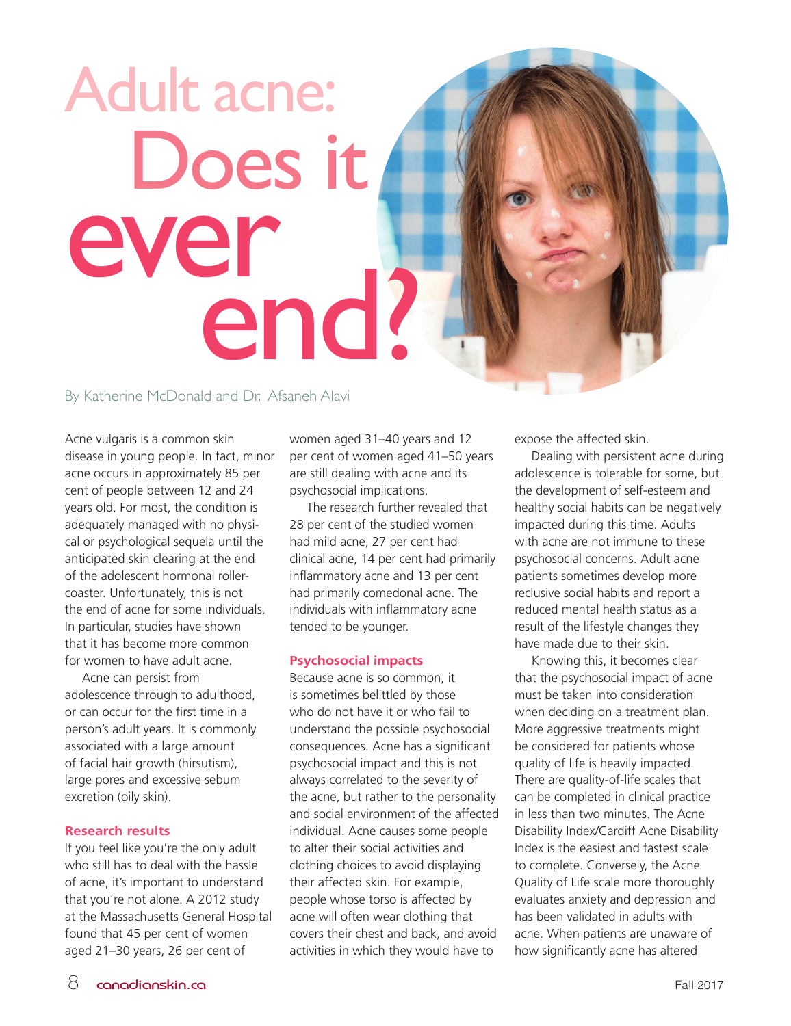# Adult acne: Does it ever end?

By Katherine McDonald and Dr. Afsaneh Alavi

Acne vulgaris is a common skin disease in young people. In fact, minor acne occurs in approximately 85 per cent of people between 12 and 24 years old. For most, the condition is adequately managed with no physical or psychological sequela until the anticipated skin clearing at the end of the adolescent hormonal rollercoaster. Unfortunately, this is not the end of acne for some individuals. In particular, studies have shown that it has become more common for women to have adult acne.

Acne can persist from adolescence through to adulthood, or can occur for the first time in a person's adult years. It is commonly associated with a large amount of facial hair growth (hirsutism), large pores and excessive sebum excretion (oily skin).

#### **Research results**

If you feel like you're the only adult who still has to deal with the hassle of acne, it's important to understand that you're not alone. A 2012 study at the Massachusetts General Hospital found that 45 per cent of women aged 21–30 years, 26 per cent of

women aged 31–40 years and 12 per cent of women aged 41–50 years are still dealing with acne and its psychosocial implications.

The research further revealed that 28 per cent of the studied women had mild acne, 27 per cent had clinical acne, 14 per cent had primarily inflammatory acne and 13 per cent had primarily comedonal acne. The individuals with inflammatory acne tended to be younger.

#### **Psychosocial impacts**

Because acne is so common, it is sometimes belittled by those who do not have it or who fail to understand the possible psychosocial consequences. Acne has a significant psychosocial impact and this is not always correlated to the severity of the acne, but rather to the personality and social environment of the affected individual. Acne causes some people to alter their social activities and clothing choices to avoid displaying their affected skin. For example, people whose torso is affected by acne will often wear clothing that covers their chest and back, and avoid activities in which they would have to

expose the affected skin.

Dealing with persistent acne during adolescence is tolerable for some, but the development of self-esteem and healthy social habits can be negatively impacted during this time. Adults with acne are not immune to these psychosocial concerns. Adult acne patients sometimes develop more reclusive social habits and report a reduced mental health status as a result of the lifestyle changes they have made due to their skin.

Knowing this, it becomes clear that the psychosocial impact of acne must be taken into consideration when deciding on a treatment plan. More aggressive treatments might be considered for patients whose quality of life is heavily impacted. There are quality-of-life scales that can be completed in clinical practice in less than two minutes. The Acne Disability Index/Cardiff Acne Disability Index is the easiest and fastest scale to complete. Conversely, the Acne Quality of Life scale more thoroughly evaluates anxiety and depression and has been validated in adults with acne. When patients are unaware of how significantly acne has altered